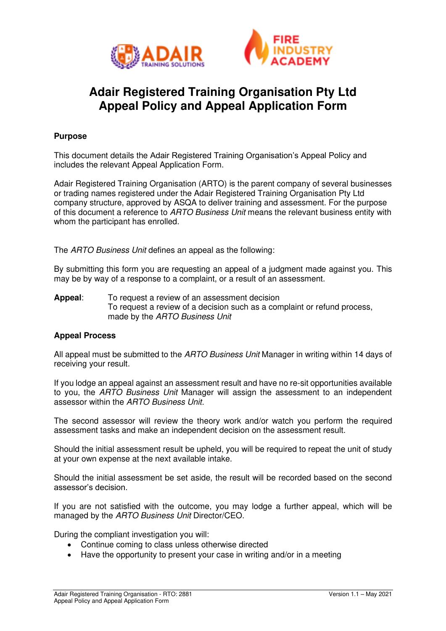



## **Adair Registered Training Organisation Pty Ltd Appeal Policy and Appeal Application Form**

### **Purpose**

This document details the Adair Registered Training Organisation's Appeal Policy and includes the relevant Appeal Application Form.

Adair Registered Training Organisation (ARTO) is the parent company of several businesses or trading names registered under the Adair Registered Training Organisation Pty Ltd company structure, approved by ASQA to deliver training and assessment. For the purpose of this document a reference to *ARTO Business Unit* means the relevant business entity with whom the participant has enrolled.

The *ARTO Business Unit* defines an appeal as the following:

By submitting this form you are requesting an appeal of a judgment made against you. This may be by way of a response to a complaint, or a result of an assessment.

**Appeal**: To request a review of an assessment decision To request a review of a decision such as a complaint or refund process, made by the *ARTO Business Unit*

#### **Appeal Process**

All appeal must be submitted to the *ARTO Business Unit* Manager in writing within 14 days of receiving your result.

If you lodge an appeal against an assessment result and have no re-sit opportunities available to you, the *ARTO Business Unit* Manager will assign the assessment to an independent assessor within the *ARTO Business Unit.*

The second assessor will review the theory work and/or watch you perform the required assessment tasks and make an independent decision on the assessment result.

Should the initial assessment result be upheld, you will be required to repeat the unit of study at your own expense at the next available intake.

Should the initial assessment be set aside, the result will be recorded based on the second assessor's decision.

If you are not satisfied with the outcome, you may lodge a further appeal, which will be managed by the *ARTO Business Unit* Director/CEO.

During the compliant investigation you will:

- Continue coming to class unless otherwise directed
- Have the opportunity to present your case in writing and/or in a meeting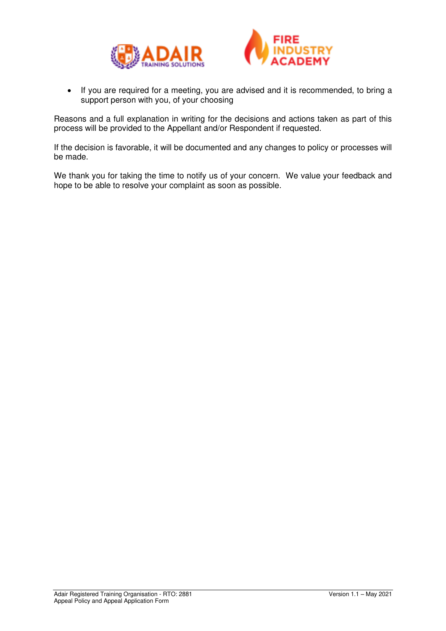



• If you are required for a meeting, you are advised and it is recommended, to bring a support person with you, of your choosing

Reasons and a full explanation in writing for the decisions and actions taken as part of this process will be provided to the Appellant and/or Respondent if requested.

If the decision is favorable, it will be documented and any changes to policy or processes will be made.

We thank you for taking the time to notify us of your concern. We value your feedback and hope to be able to resolve your complaint as soon as possible.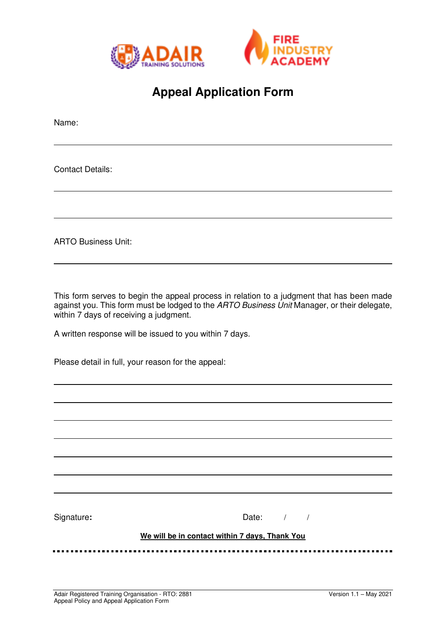



# **Appeal Application Form**

Name:

Contact Details:

ARTO Business Unit:

This form serves to begin the appeal process in relation to a judgment that has been made against you. This form must be lodged to the *ARTO Business Unit* Manager, or their delegate, within 7 days of receiving a judgment.

A written response will be issued to you within 7 days.

Please detail in full, your reason for the appeal:

Signature: **Date:**  $\frac{1}{1}$  Date:  $\frac{1}{1}$  /

#### **We will be in contact within 7 days, Thank You**